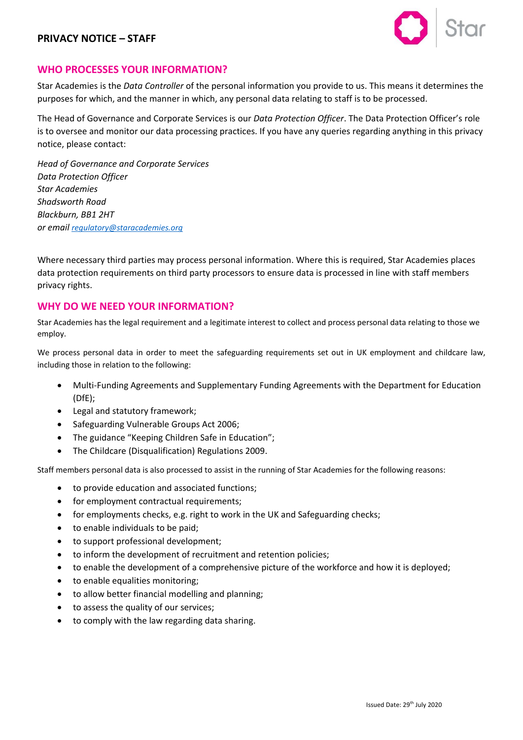# **PRIVACY NOTICE – STAFF**



# **WHO PROCESSES YOUR INFORMATION?**

Star Academies is the *Data Controller* of the personal information you provide to us. This means it determines the purposes for which, and the manner in which, any personal data relating to staff is to be processed.

The Head of Governance and Corporate Services is our *Data Protection Officer*. The Data Protection Officer's role is to oversee and monitor our data processing practices. If you have any queries regarding anything in this privacy notice, please contact:

*Head of Governance and Corporate Services Data Protection Officer Star Academies Shadsworth Road Blackburn, BB1 2HT or email [regulatory@staracademies.org](mailto:regulatory@staracademies.org)*

Where necessary third parties may process personal information. Where this is required, Star Academies places data protection requirements on third party processors to ensure data is processed in line with staff members privacy rights.

## **WHY DO WE NEED YOUR INFORMATION?**

Star Academies has the legal requirement and a legitimate interest to collect and process personal data relating to those we employ.

We process personal data in order to meet the safeguarding requirements set out in UK employment and childcare law, including those in relation to the following:

- Multi-Funding Agreements and Supplementary Funding Agreements with the Department for Education (DfE);
- Legal and statutory framework;
- Safeguarding Vulnerable Groups Act 2006;
- The guidance "Keeping Children Safe in Education";
- The Childcare (Disqualification) Regulations 2009.

Staff members personal data is also processed to assist in the running of Star Academies for the following reasons:

- to provide education and associated functions;
- for employment contractual requirements;
- for employments checks, e.g. right to work in the UK and Safeguarding checks;
- to enable individuals to be paid;
- to support professional development;
- to inform the development of recruitment and retention policies;
- to enable the development of a comprehensive picture of the workforce and how it is deployed;
- to enable equalities monitoring;
- to allow better financial modelling and planning;
- to assess the quality of our services;
- to comply with the law regarding data sharing.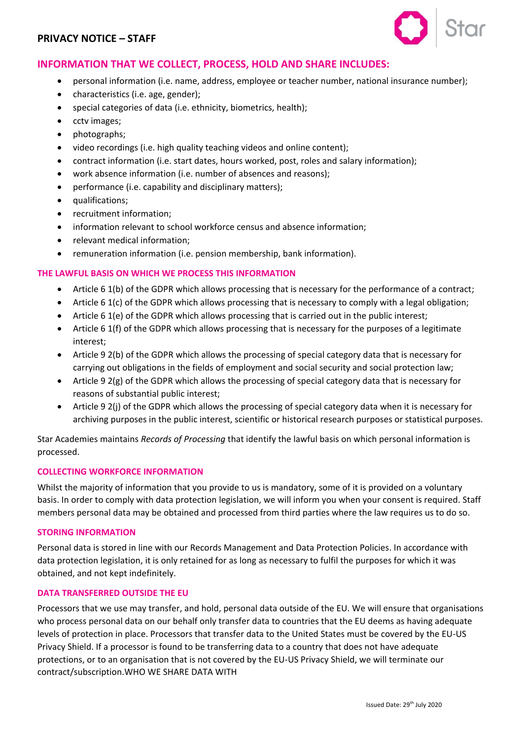

# **INFORMATION THAT WE COLLECT, PROCESS, HOLD AND SHARE INCLUDES:**

- personal information (i.e. name, address, employee or teacher number, national insurance number);
- characteristics (i.e. age, gender);
- special categories of data (i.e. ethnicity, biometrics, health);
- cctv images;
- photographs;
- video recordings (i.e. high quality teaching videos and online content);
- contract information (i.e. start dates, hours worked, post, roles and salary information);
- work absence information (i.e. number of absences and reasons);
- performance (i.e. capability and disciplinary matters);
- qualifications;
- recruitment information;
- information relevant to school workforce census and absence information;
- relevant medical information;
- remuneration information (i.e. pension membership, bank information).

## **THE LAWFUL BASIS ON WHICH WE PROCESS THIS INFORMATION**

- Article 6 1(b) of the GDPR which allows processing that is necessary for the performance of a contract;
- Article 6 1(c) of the GDPR which allows processing that is necessary to comply with a legal obligation;
- Article 6 1(e) of the GDPR which allows processing that is carried out in the public interest;
- Article 6 1(f) of the GDPR which allows processing that is necessary for the purposes of a legitimate interest;
- Article 9 2(b) of the GDPR which allows the processing of special category data that is necessary for carrying out obligations in the fields of employment and social security and social protection law;
- Article 9 2(g) of the GDPR which allows the processing of special category data that is necessary for reasons of substantial public interest;
- Article 9 2(j) of the GDPR which allows the processing of special category data when it is necessary for archiving purposes in the public interest, scientific or historical research purposes or statistical purposes.

Star Academies maintains *Records of Processing* that identify the lawful basis on which personal information is processed.

## **COLLECTING WORKFORCE INFORMATION**

Whilst the majority of information that you provide to us is mandatory, some of it is provided on a voluntary basis. In order to comply with data protection legislation, we will inform you when your consent is required. Staff members personal data may be obtained and processed from third parties where the law requires us to do so.

## **STORING INFORMATION**

Personal data is stored in line with our Records Management and Data Protection Policies. In accordance with data protection legislation, it is only retained for as long as necessary to fulfil the purposes for which it was obtained, and not kept indefinitely.

#### **DATA TRANSFERRED OUTSIDE THE EU**

Processors that we use may transfer, and hold, personal data outside of the EU. We will ensure that organisations who process personal data on our behalf only transfer data to countries that the EU deems as having adequate levels of protection in place. Processors that transfer data to the United States must be covered by the EU-US Privacy Shield. If a processor is found to be transferring data to a country that does not have adequate protections, or to an organisation that is not covered by the EU-US Privacy Shield, we will terminate our contract/subscription.WHO WE SHARE DATA WITH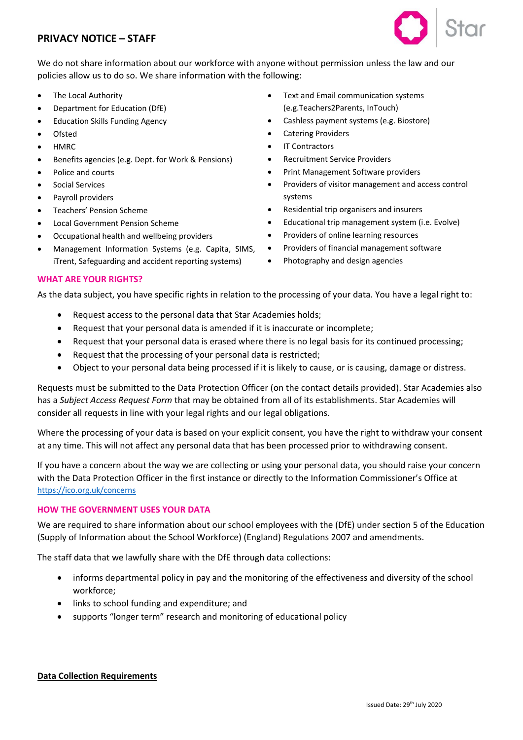# **PRIVACY NOTICE – STAFF**



We do not share information about our workforce with anyone without permission unless the law and our policies allow us to do so. We share information with the following:

- The Local Authority
- Department for Education (DfE)
- Education Skills Funding Agency
- Ofsted
- HMRC
- Benefits agencies (e.g. Dept. for Work & Pensions)
- Police and courts
- Social Services
- Payroll providers
- Teachers' Pension Scheme
- Local Government Pension Scheme
- Occupational health and wellbeing providers
- Management Information Systems (e.g. Capita, SIMS, iTrent, Safeguarding and accident reporting systems)
- Text and Email communication systems (e.g.Teachers2Parents, InTouch)
- Cashless payment systems (e.g. Biostore)
- Catering Providers
- **IT Contractors**
- Recruitment Service Providers
- Print Management Software providers
- Providers of visitor management and access control systems
- Residential trip organisers and insurers
- Educational trip management system (i.e. Evolve)
- Providers of online learning resources
- Providers of financial management software
- Photography and design agencies

## **WHAT ARE YOUR RIGHTS?**

As the data subject, you have specific rights in relation to the processing of your data. You have a legal right to:

- Request access to the personal data that Star Academies holds;
- Request that your personal data is amended if it is inaccurate or incomplete;
- Request that your personal data is erased where there is no legal basis for its continued processing;
- Request that the processing of your personal data is restricted;
- Object to your personal data being processed if it is likely to cause, or is causing, damage or distress.

Requests must be submitted to the Data Protection Officer (on the contact details provided). Star Academies also has a *Subject Access Request Form* that may be obtained from all of its establishments. Star Academies will consider all requests in line with your legal rights and our legal obligations.

Where the processing of your data is based on your explicit consent, you have the right to withdraw your consent at any time. This will not affect any personal data that has been processed prior to withdrawing consent.

If you have a concern about the way we are collecting or using your personal data, you should raise your concern with the Data Protection Officer in the first instance or directly to the Information Commissioner's Office at <https://ico.org.uk/concerns>

## **HOW THE GOVERNMENT USES YOUR DATA**

We are required to share information about our school employees with the (DfE) under section 5 of the Education (Supply of Information about the School Workforce) (England) Regulations 2007 and amendments.

The staff data that we lawfully share with the DfE through data collections:

- informs departmental policy in pay and the monitoring of the effectiveness and diversity of the school workforce;
- links to school funding and expenditure; and
- supports "longer term" research and monitoring of educational policy